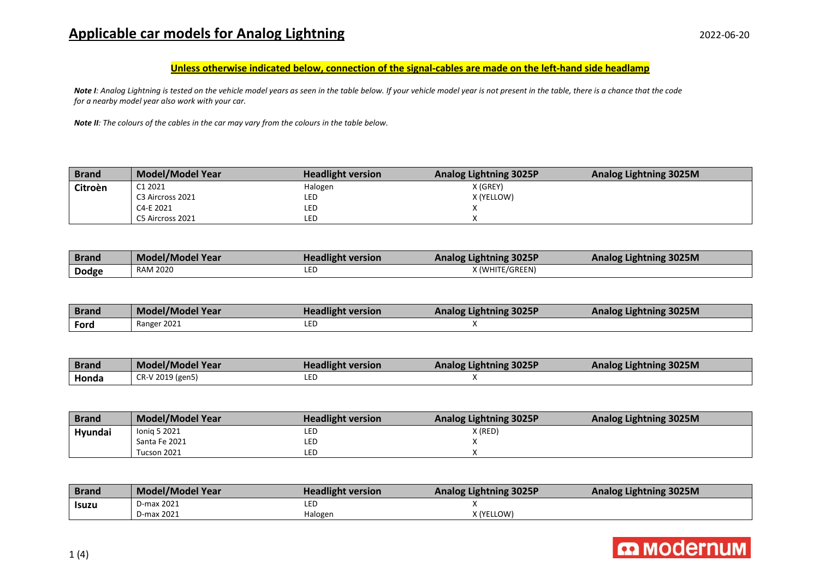## **Applicable car models for Analog Lightning** 2022-06-20

## **Unless otherwise indicated below, connection of the signal-cables are made on the left-hand side headlamp**

*Note I: Analog Lightning is tested on the vehicle model years as seen in the table below. If your vehicle model year is not present in the table, there is a chance that the code for a nearby model year also work with your car.*

*Note II: The colours of the cables in the car may vary from the colours in the table below.* 

| <b>Brand</b> | <b>Model/Model Year</b> | <b>Headlight version</b> | <b>Analog Lightning 3025P</b> | <b>Analog Lightning 3025M</b> |
|--------------|-------------------------|--------------------------|-------------------------------|-------------------------------|
| Citroèn      | C1 2021                 | Halogen                  | X (GREY)                      |                               |
|              | C3 Aircross 2021        | LED                      | X (YELLOW)                    |                               |
|              | C4-E 2021               | LED                      |                               |                               |
|              | C5 Aircross 2021        | LED                      |                               |                               |

| <b>Brand</b> | <b>Model/Model Year</b> | <b>Headlight version</b> | <b>Analog Lightning 3025P</b> | Analog Lightning 3025M |
|--------------|-------------------------|--------------------------|-------------------------------|------------------------|
| <b>Dodge</b> | <b>RAM 2020</b>         | LED                      | X (WHITE/GREEN)               |                        |

| <b>Brand</b> | <b>Model/Model Year</b> | <b>Headlight version</b> | <b>Analog Lightning 3025P</b> | Analog Lightning 3025M |
|--------------|-------------------------|--------------------------|-------------------------------|------------------------|
| Ford         | Ranger 2021             | LED                      |                               |                        |

| <b>Brand</b> | Model/Model Year | <b>Headlight version</b> | <b>Analog Lightning 3025P</b> | Analog Lightning 3025M |
|--------------|------------------|--------------------------|-------------------------------|------------------------|
| Honda        | CR-V 2019 (gen5) | LED                      |                               |                        |

| <b>Brand</b> | <b>Model/Model Year</b> | <b>Headlight version</b> | <b>Analog Lightning 3025P</b> | <b>Analog Lightning 3025M</b> |
|--------------|-------------------------|--------------------------|-------------------------------|-------------------------------|
| Hyundai      | Ionig 5 2021            | LEC                      | X (RED)                       |                               |
|              | Santa Fe 2021           | LEC                      |                               |                               |
|              | Tucson 2021             | LED                      |                               |                               |

| <b>Brand</b> | <b>Model/Model Year</b> | <b>Headlight version</b> | <b>Analog Lightning 3025P</b> | <b>Analog Lightning 3025M</b> |
|--------------|-------------------------|--------------------------|-------------------------------|-------------------------------|
| Isuzu        | D-max 2021              |                          |                               |                               |
|              | D-max 2021              | Halogen                  | X (YELLOW)                    |                               |

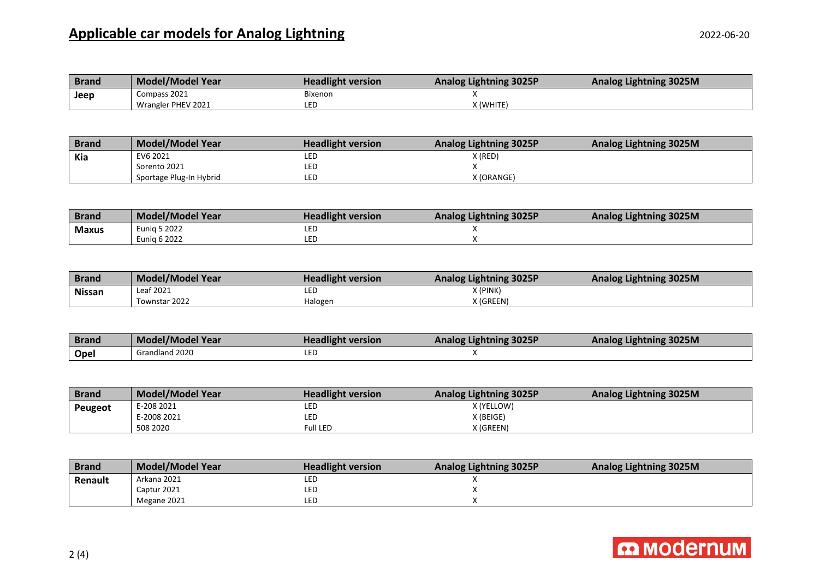## **Applicable car models for Analog Lightning** 2022-06-20

| <b>Brand</b> | <b>Model/Model Year</b> | <b>Headlight version</b> | <b>Analog Lightning 3025P</b> | <b>Analog Lightning 3025M</b> |
|--------------|-------------------------|--------------------------|-------------------------------|-------------------------------|
| Jeep         | Compass 2021            | <b>Bixenon</b>           |                               |                               |
|              | Wrangler PHEV 2021      | LEC                      | X (WHITE)                     |                               |

| <b>Brand</b> | <b>Model/Model Year</b> | <b>Headlight version</b> | <b>Analog Lightning 3025P</b> | Analog Lightning 3025M |
|--------------|-------------------------|--------------------------|-------------------------------|------------------------|
| Kia          | EV6 2021                | LED                      | X (RED)                       |                        |
|              | Sorento 2021            | LED                      |                               |                        |
|              | Sportage Plug-In Hybrid | LED                      | X (ORANGE)                    |                        |

| <b>Brand</b> | <b>Model/Model Year</b> | <b>Headlight version</b> | <b>Analog Lightning 3025P</b> | <b>Analog Lightning 3025M</b> |
|--------------|-------------------------|--------------------------|-------------------------------|-------------------------------|
| <b>Maxus</b> | Eunia 5 2022            | lec                      |                               |                               |
|              | <b>Eunia 6 2022</b>     | lec                      |                               |                               |

| <b>Brand</b>  | <b>Model/Model Year</b> | <b>Headlight version</b> | <b>Analog Lightning 3025P</b> | Analog Lightning 3025M |
|---------------|-------------------------|--------------------------|-------------------------------|------------------------|
| <b>Nissan</b> | Leaf 2021               | LED                      | X (PINK)                      |                        |
|               | Townstar 2022           | Halogen                  | X (GREEN)                     |                        |

| <b>Brand</b> | Model/Model Year | <b>Headlight version</b> | <b>Analog Lightning 3025P</b> | Analog Lightning 3025M |
|--------------|------------------|--------------------------|-------------------------------|------------------------|
| Opel         | Grandland 2020   | LED                      |                               |                        |

| <b>Brand</b> | <b>Model/Model Year</b> | <b>Headlight version</b> | <b>Analog Lightning 3025P</b> | <b>Analog Lightning 3025M</b> |
|--------------|-------------------------|--------------------------|-------------------------------|-------------------------------|
| Peugeot      | E-208 2021              | LEC                      | X (YELLOW)                    |                               |
|              | E-2008 2021             | LEC                      | X (BEIGE)                     |                               |
|              | 508 2020                | Full LED                 | X (GREEN)                     |                               |

| <b>Brand</b> | Model/Model Year | <b>Headlight version</b> | <b>Analog Lightning 3025P</b> | <b>Analog Lightning 3025M</b> |
|--------------|------------------|--------------------------|-------------------------------|-------------------------------|
| Renault      | Arkana 2021      | LEC                      |                               |                               |
|              | Captur 2021      | LEC                      |                               |                               |
|              | Megane 2021      | LEC                      |                               |                               |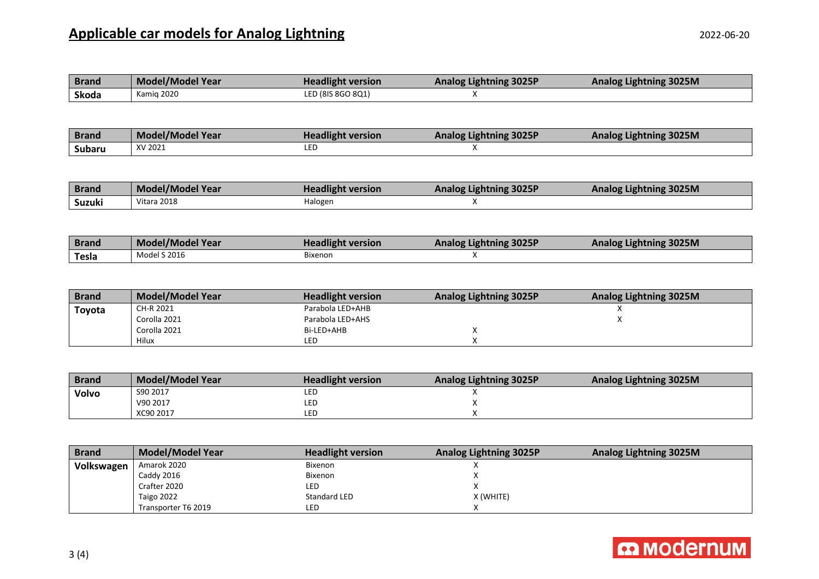| <b>Brand</b> | <b>Model/Model Year</b>              | <b>Headlight version</b>           | <b>Analog Lightning 3025P</b> | <b>Analog Lightning 3025M</b>                                                                                                                                                                                                                                                        |
|--------------|--------------------------------------|------------------------------------|-------------------------------|--------------------------------------------------------------------------------------------------------------------------------------------------------------------------------------------------------------------------------------------------------------------------------------|
| Skoda        | Kamig 2020                           | LED (8IS 8GO 8Q1)                  | X                             |                                                                                                                                                                                                                                                                                      |
|              |                                      |                                    |                               |                                                                                                                                                                                                                                                                                      |
|              |                                      |                                    |                               |                                                                                                                                                                                                                                                                                      |
| <b>Brand</b> | <b>Model/Model Year</b>              | <b>Headlight version</b>           | <b>Analog Lightning 3025P</b> | <b>Analog Lightning 3025M</b>                                                                                                                                                                                                                                                        |
| Subaru       | XV 2021                              | LED                                | X                             |                                                                                                                                                                                                                                                                                      |
|              |                                      |                                    |                               |                                                                                                                                                                                                                                                                                      |
|              |                                      |                                    |                               |                                                                                                                                                                                                                                                                                      |
| <b>Brand</b> | <b>Model/Model Year</b>              | <b>Headlight version</b>           | <b>Analog Lightning 3025P</b> | <b>Analog Lightning 3025M</b>                                                                                                                                                                                                                                                        |
| Suzuki       | Vitara 2018                          | Halogen                            | X                             |                                                                                                                                                                                                                                                                                      |
|              |                                      |                                    |                               |                                                                                                                                                                                                                                                                                      |
|              |                                      |                                    |                               |                                                                                                                                                                                                                                                                                      |
| <b>Brand</b> | <b>Model/Model Year</b>              | <b>Headlight version</b>           | <b>Analog Lightning 3025P</b> | <b>Analog Lightning 3025M</b>                                                                                                                                                                                                                                                        |
| <b>Tesla</b> | <b>Model S 2016</b>                  | <b>Bixenon</b>                     | X                             |                                                                                                                                                                                                                                                                                      |
|              |                                      |                                    |                               |                                                                                                                                                                                                                                                                                      |
|              |                                      |                                    |                               |                                                                                                                                                                                                                                                                                      |
| Donated by   | $B = -1 - 1$ / $B = -1 - 1$ $M = -1$ | <b>The staff district constant</b> | $A = \{x, y, z\}$             | $A_1, A_2, A_3, A_4, A_5, A_6, A_7, A_8, A_9, A_1, A_2, A_3, A_4, A_5, A_6, A_7, A_8, A_9, A_1, A_2, A_3, A_4, A_5, A_6, A_7, A_8, A_9, A_1, A_2, A_3, A_4, A_5, A_7, A_8, A_9, A_1, A_2, A_3, A_4, A_5, A_7, A_8, A_9, A_1, A_2, A_3, A_1, A_2, A_3, A_1, A_2, A_3, A_1, A_2, A_3,$ |

| <b>Brand</b> | <b>Model/Model Year</b> | <b>Headlight version</b> | <b>Analog Lightning 3025P</b> | <b>Analog Lightning 3025M</b> |
|--------------|-------------------------|--------------------------|-------------------------------|-------------------------------|
| Toyota       | CH-R 2021               | Parabola LED+AHB         |                               |                               |
|              | Corolla 2021            | Parabola LED+AHS         |                               |                               |
|              | Corolla 2021            | Bi-LED+AHB               |                               |                               |
|              | Hilux                   | LED                      |                               |                               |

| <b>Brand</b> | <b>Model/Model Year</b> | <b>Headlight version</b> | <b>Analog Lightning 3025P</b> | <b>Analog Lightning 3025M</b> |
|--------------|-------------------------|--------------------------|-------------------------------|-------------------------------|
| Volvo        | S90 2017                | LED                      |                               |                               |
|              | V90 2017                | LED                      |                               |                               |
|              | XC90 2017               | LED                      |                               |                               |

| <b>Brand</b> | Model/Model Year    | <b>Headlight version</b> | <b>Analog Lightning 3025P</b> | Analog Lightning 3025M |
|--------------|---------------------|--------------------------|-------------------------------|------------------------|
| Volkswagen   | Amarok 2020         | <b>Bixenon</b>           |                               |                        |
|              | Caddy 2016          | <b>Bixenon</b>           |                               |                        |
|              | Crafter 2020        | LED                      |                               |                        |
|              | Taigo 2022          | Standard LED             | X (WHITE)                     |                        |
|              | Transporter T6 2019 | LED                      |                               |                        |